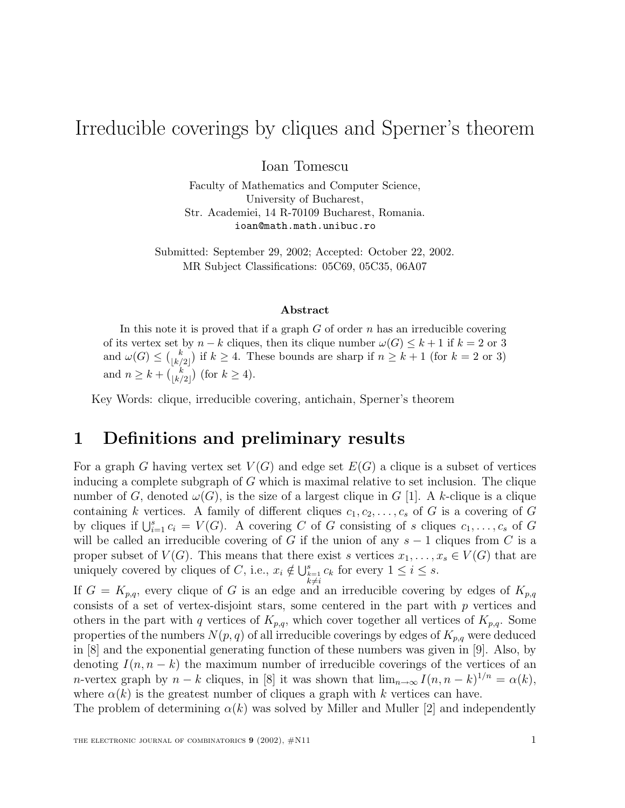# Irreducible coverings by cliques and Sperner's theorem

Ioan Tomescu

Faculty of Mathematics and Computer Science, University of Bucharest, Str. Academiei, 14 R-70109 Bucharest, Romania. ioan@math.math.unibuc.ro

Submitted: September 29, 2002; Accepted: October 22, 2002. MR Subject Classifications: 05C69, 05C35, 06A07

#### **Abstract**

In this note it is proved that if a graph  $G$  of order  $n$  has an irreducible covering of its vertex set by  $n - k$  cliques, then its clique number  $\omega(G) \leq k + 1$  if  $k = 2$  or 3 and  $\omega(G) \leq {k \choose \lfloor k/2 \rfloor}$  if  $k \geq 4$ . These bounds are sharp if  $n \geq k+1$  (for  $k = 2$  or 3) and  $n \geq k + {k \choose \lfloor k/2 \rfloor}$  (for  $k \geq 4$ ).

Key Words: clique, irreducible covering, antichain, Sperner's theorem

# **1 Definitions and preliminary results**

For a graph G having vertex set  $V(G)$  and edge set  $E(G)$  a clique is a subset of vertices inducing a complete subgraph of G which is maximal relative to set inclusion. The clique number of G, denoted  $\omega(G)$ , is the size of a largest clique in G [1]. A k-clique is a clique containing k vertices. A family of different cliques  $c_1, c_2, \ldots, c_s$  of G is a covering of G by cliques if  $\bigcup_{i=1}^s c_i = V(G)$ . A covering C of G consisting of s cliques  $c_1, \ldots, c_s$  of G will be called an irreducible covering of G if the union of any  $s - 1$  cliques from C is a proper subset of  $V(G)$ . This means that there exist s vertices  $x_1, \ldots, x_s \in V(G)$  that are uniquely covered by cliques of C, i.e.,  $x_i \notin \bigcup_{\substack{k=1 \ k \neq i}}^s c_k$  for every  $1 \leq i \leq s$ .

If  $G = K_{p,q}$ , every clique of G is an edge and an irreducible covering by edges of  $K_{p,q}$ consists of a set of vertex-disjoint stars, some centered in the part with  $p$  vertices and others in the part with q vertices of  $K_{p,q}$ , which cover together all vertices of  $K_{p,q}$ . Some properties of the numbers  $N(p, q)$  of all irreducible coverings by edges of  $K_{p,q}$  were deduced in [8] and the exponential generating function of these numbers was given in [9]. Also, by denoting  $I(n, n - k)$  the maximum number of irreducible coverings of the vertices of an n-vertex graph by  $n - k$  cliques, in [8] it was shown that  $\lim_{n \to \infty} I(n, n - k)^{1/n} = \alpha(k)$ , where  $\alpha(k)$  is the greatest number of cliques a graph with k vertices can have.

The problem of determining  $\alpha(k)$  was solved by Miller and Muller [2] and independently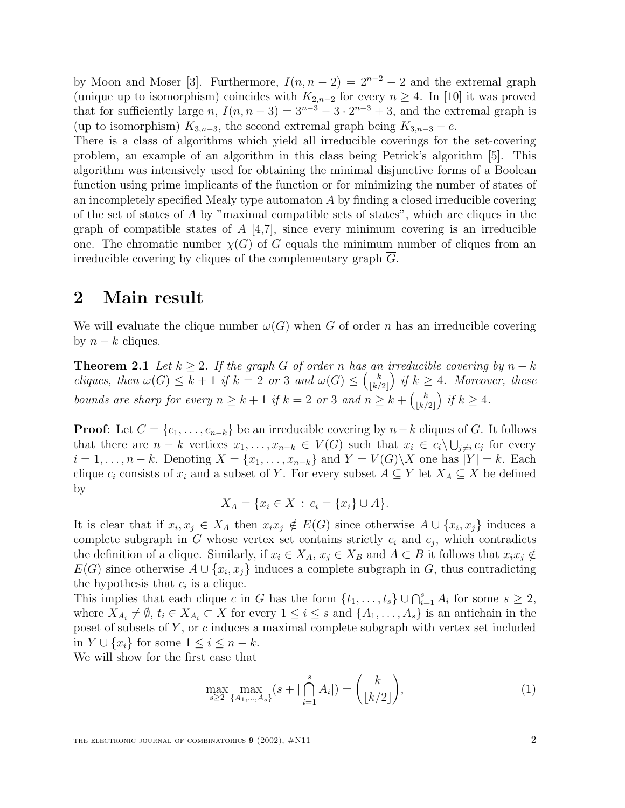by Moon and Moser [3]. Furthermore,  $I(n, n-2) = 2^{n-2} - 2$  and the extremal graph (unique up to isomorphism) coincides with  $K_{2,n-2}$  for every  $n \geq 4$ . In [10] it was proved that for sufficiently large n,  $I(n, n-3) = 3^{n-3} - 3 \cdot 2^{n-3} + 3$ , and the extremal graph is (up to isomorphism)  $K_{3,n-3}$ , the second extremal graph being  $K_{3,n-3} - e$ .

There is a class of algorithms which yield all irreducible coverings for the set-covering problem, an example of an algorithm in this class being Petrick's algorithm [5]. This algorithm was intensively used for obtaining the minimal disjunctive forms of a Boolean function using prime implicants of the function or for minimizing the number of states of an incompletely specified Mealy type automaton  $A$  by finding a closed irreducible covering of the set of states of  $A$  by "maximal compatible sets of states", which are cliques in the graph of compatible states of  $A \, [4,7]$ , since every minimum covering is an irreducible one. The chromatic number  $\chi(G)$  of G equals the minimum number of cliques from an irreducible covering by cliques of the complementary graph G.

### **2 Main result**

We will evaluate the clique number  $\omega(G)$  when G of order n has an irreducible covering by  $n - k$  cliques.

**Theorem 2.1** Let  $k \geq 2$ . If the graph G of order n has an irreducible covering by  $n - k$ cliques, then  $\omega(G) \leq k+1$  if  $k=2$  or 3 and  $\omega(G) \leq {k \choose \lfloor k/2 \rfloor}$  if  $k \geq 4$ . Moreover, these bounds are sharp for every  $n \geq k+1$  if  $k=2$  or 3 and  $n \geq k+\binom{k}{\lfloor k/2 \rfloor}$  if  $k \geq 4$ .

**Proof**: Let  $C = \{c_1, \ldots, c_{n-k}\}\$  be an irreducible covering by  $n-k$  cliques of G. It follows that there are  $n - k$  vertices  $x_1, \ldots, x_{n-k} \in V(G)$  such that  $x_i \in c_i \setminus \bigcup_{j \neq i} c_j$  for every  $i = 1, \ldots, n-k$ . Denoting  $X = \{x_1, \ldots, x_{n-k}\}\$ and  $Y = V(G)\X$  one has  $|Y| = k$ . Each clique  $c_i$  consists of  $x_i$  and a subset of Y. For every subset  $A \subseteq Y$  let  $X_A \subseteq X$  be defined by

$$
X_A = \{x_i \in X \,:\, c_i = \{x_i\} \cup A\}.
$$

It is clear that if  $x_i, x_j \in X_A$  then  $x_i x_j \notin E(G)$  since otherwise  $A \cup \{x_i, x_j\}$  induces a complete subgraph in G whose vertex set contains strictly  $c_i$  and  $c_j$ , which contradicts the definition of a clique. Similarly, if  $x_i \in X_A$ ,  $x_j \in X_B$  and  $A \subset B$  it follows that  $x_i x_j \notin$  $E(G)$  since otherwise  $A \cup \{x_i, x_j\}$  induces a complete subgraph in G, thus contradicting the hypothesis that  $c_i$  is a clique.

This implies that each clique c in G has the form  $\{t_1, \ldots, t_s\} \cup \bigcap_{i=1}^s A_i$  for some  $s \geq 2$ , where  $X_{A_i} \neq \emptyset$ ,  $t_i \in X_{A_i} \subset X$  for every  $1 \leq i \leq s$  and  $\{A_1, \ldots, A_s\}$  is an antichain in the poset of subsets of  $Y$ , or  $c$  induces a maximal complete subgraph with vertex set included in  $Y \cup \{x_i\}$  for some  $1 \leq i \leq n-k$ .

We will show for the first case that

$$
\max_{s \ge 2} \max_{\{A_1, \dots, A_s\}} (s + |\bigcap_{i=1}^s A_i|) = \binom{k}{\lfloor k/2 \rfloor},\tag{1}
$$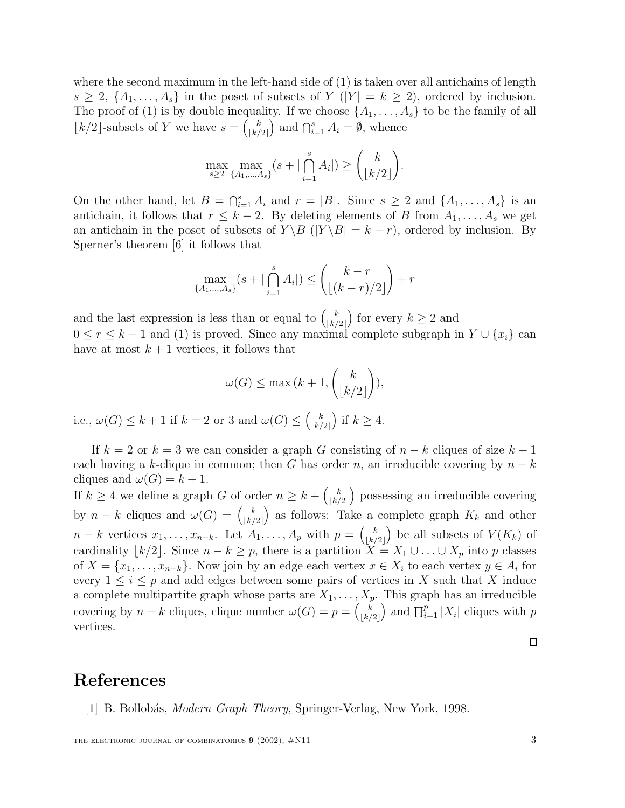where the second maximum in the left-hand side of (1) is taken over all antichains of length  $s \geq 2$ ,  $\{A_1, \ldots, A_s\}$  in the poset of subsets of Y (|Y| =  $k \geq 2$ ), ordered by inclusion. The proof of (1) is by double inequality. If we choose  $\{A_1, \ldots, A_s\}$  to be the family of all  $\lfloor k/2 \rfloor$ -subsets of Y we have  $s = {k \choose \lfloor k/2 \rfloor}$  and  $\bigcap_{i=1}^s A_i = \emptyset$ , whence

$$
\max_{s\geq 2} \max_{\{A_1,\dots,A_s\}} (s+|\bigcap_{i=1}^s A_i|) \geq {k \choose \lfloor k/2 \rfloor}.
$$

On the other hand, let  $B = \bigcap_{i=1}^s A_i$  and  $r = |B|$ . Since  $s \geq 2$  and  $\{A_1, \ldots, A_s\}$  is an antichain, it follows that  $r \leq k-2$ . By deleting elements of B from  $A_1, \ldots, A_s$  we get an antichain in the poset of subsets of  $Y \setminus B$  ( $|Y \setminus B| = k - r$ ), ordered by inclusion. By Sperner's theorem [6] it follows that

$$
\max_{\{A_1, ..., A_s\}} (s + |\bigcap_{i=1}^s A_i|) \le {k-r \choose \lfloor (k-r)/2 \rfloor} + r
$$

and the last expression is less than or equal to  $\binom{k}{\lfloor k/2 \rfloor}$  for every  $k \geq 2$  and  $0 \le r \le k-1$  and (1) is proved. Since any maximal complete subgraph in  $Y \cup \{x_i\}$  can have at most  $k+1$  vertices, it follows that

$$
\omega(G) \le \max\big(k+1,\binom{k}{\lfloor k/2 \rfloor}\big),
$$

i.e.,  $\omega(G) \leq k+1$  if  $k=2$  or 3 and  $\omega(G) \leq {k \choose \lfloor k/2 \rfloor}$  if  $k \geq 4$ .

If  $k = 2$  or  $k = 3$  we can consider a graph G consisting of  $n - k$  cliques of size  $k + 1$ each having a k-clique in common; then G has order n, an irreducible covering by  $n - k$ cliques and  $\omega(G) = k + 1$ .

If  $k \geq 4$  we define a graph G of order  $n \geq k + \binom{k}{\lfloor k/2 \rfloor}$  possessing an irreducible covering by  $n - k$  cliques and  $\omega(G) = \binom{k}{\lfloor k/2 \rfloor}$  as follows: Take a complete graph  $K_k$  and other  $n-k$  vertices  $x_1,\ldots,x_{n-k}$ . Let  $A_1,\ldots,A_p$  with  $p=\binom{k}{\lfloor k/2 \rfloor}$  be all subsets of  $V(K_k)$  of cardinality  $\lfloor k/2 \rfloor$ . Since  $n - k \geq p$ , there is a partition  $X = X_1 \cup \ldots \cup X_p$  into p classes of  $X = \{x_1, \ldots, x_{n-k}\}.$  Now join by an edge each vertex  $x \in X_i$  to each vertex  $y \in A_i$  for every  $1 \leq i \leq p$  and add edges between some pairs of vertices in X such that X induce a complete multipartite graph whose parts are  $X_1, \ldots, X_p$ . This graph has an irreducible covering by  $n - k$  cliques, clique number  $\omega(G) = p = {k \choose \lfloor k/2 \rfloor}$  and  $\prod_{i=1}^p |X_i|$  cliques with p vertices.

## **References**

[1] B. Bollobás, *Modern Graph Theory*, Springer-Verlag, New York, 1998.

THE ELECTRONIC JOURNAL OF COMBINATORICS **9** (2002),  $\#$ N11 3

 $\Box$